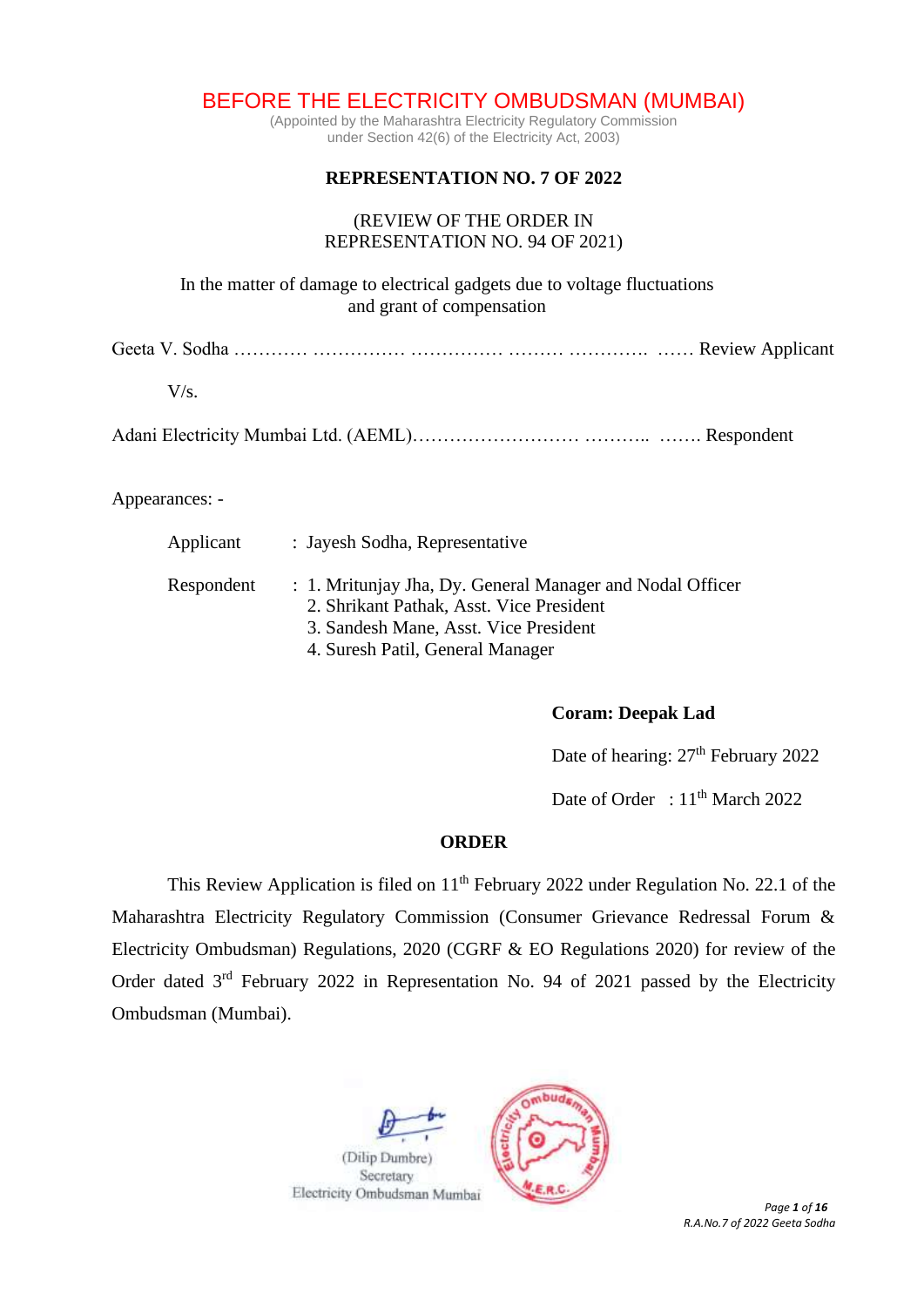BEFORE THE ELECTRICITY OMBUDSMAN (MUMBAI)

(Appointed by the Maharashtra Electricity Regulatory Commission under Section 42(6) of the Electricity Act, 2003)

# **REPRESENTATION NO. 7 OF 2022**

## (REVIEW OF THE ORDER IN REPRESENTATION NO. 94 OF 2021)

In the matter of damage to electrical gadgets due to voltage fluctuations and grant of compensation

Geeta V. Sodha ………… …………… …………… ……… …………. …… Review Applicant

 $V/s$ .

Adani Electricity Mumbai Ltd. (AEML)……………………………………………… Respondent

Appearances: -

| Applicant  | : Jayesh Sodha, Representative                                                                                                                 |
|------------|------------------------------------------------------------------------------------------------------------------------------------------------|
| Respondent | : 1. Mritunjay Jha, Dy. General Manager and Nodal Officer<br>2. Shrikant Pathak, Asst. Vice President<br>3. Sandesh Mane, Asst. Vice President |
|            | 4. Suresh Patil, General Manager                                                                                                               |

**Coram: Deepak Lad**

Date of hearing:  $27<sup>th</sup>$  February 2022

Date of Order : 11<sup>th</sup> March 2022

## **ORDER**

This Review Application is filed on  $11<sup>th</sup>$  February 2022 under Regulation No. 22.1 of the Maharashtra Electricity Regulatory Commission (Consumer Grievance Redressal Forum & Electricity Ombudsman) Regulations, 2020 (CGRF & EO Regulations 2020) for review of the Order dated  $3<sup>rd</sup>$  February 2022 in Representation No. 94 of 2021 passed by the Electricity Ombudsman (Mumbai).



*R.A.No.7 of 2022 Geeta Sodha*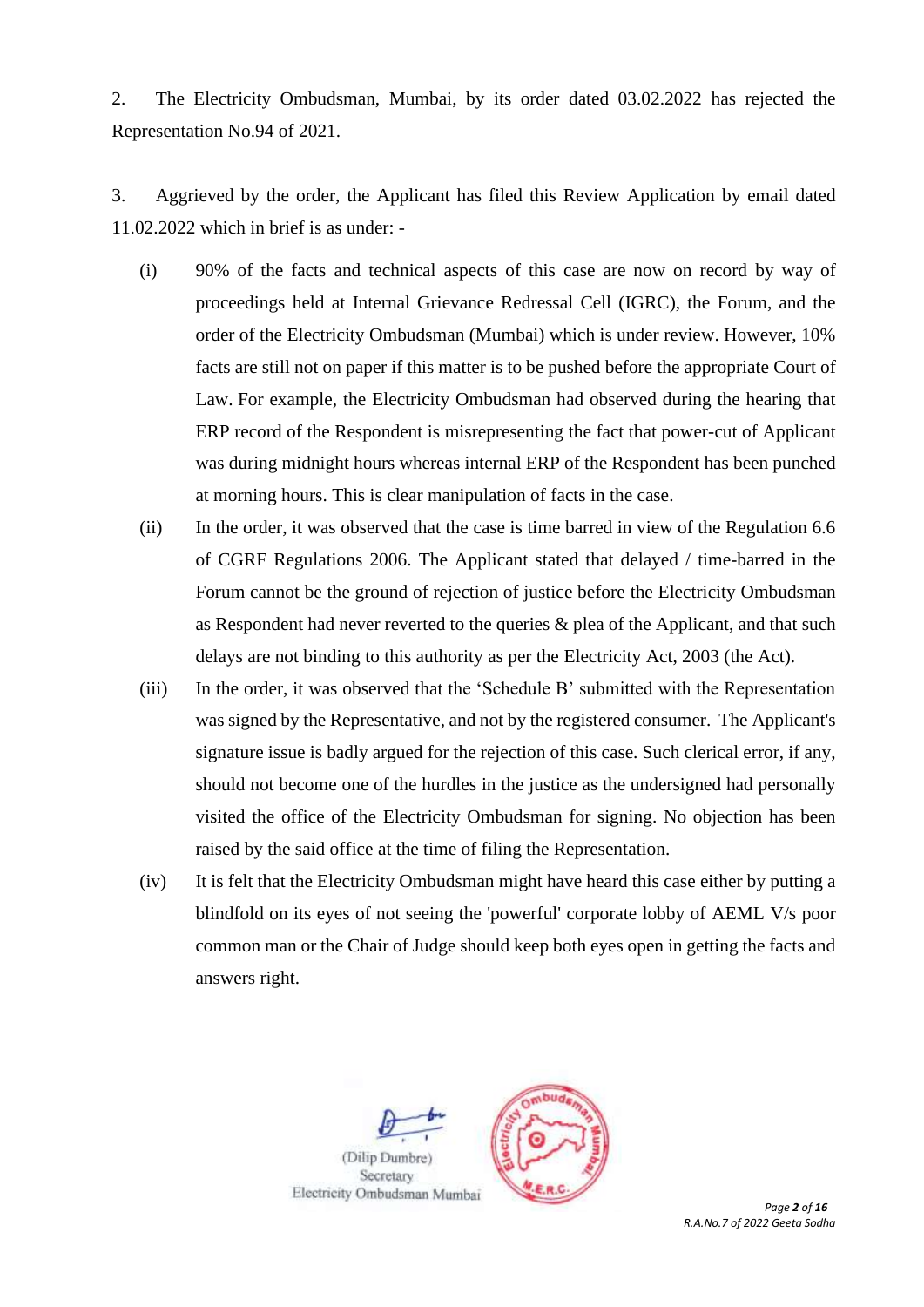2. The Electricity Ombudsman, Mumbai, by its order dated 03.02.2022 has rejected the Representation No.94 of 2021.

3. Aggrieved by the order, the Applicant has filed this Review Application by email dated 11.02.2022 which in brief is as under: -

- (i) 90% of the facts and technical aspects of this case are now on record by way of proceedings held at Internal Grievance Redressal Cell (IGRC), the Forum, and the order of the Electricity Ombudsman (Mumbai) which is under review. However, 10% facts are still not on paper if this matter is to be pushed before the appropriate Court of Law. For example, the Electricity Ombudsman had observed during the hearing that ERP record of the Respondent is misrepresenting the fact that power-cut of Applicant was during midnight hours whereas internal ERP of the Respondent has been punched at morning hours. This is clear manipulation of facts in the case.
- (ii) In the order, it was observed that the case is time barred in view of the Regulation 6.6 of CGRF Regulations 2006. The Applicant stated that delayed / time-barred in the Forum cannot be the ground of rejection of justice before the Electricity Ombudsman as Respondent had never reverted to the queries & plea of the Applicant, and that such delays are not binding to this authority as per the Electricity Act, 2003 (the Act).
- (iii) In the order, it was observed that the 'Schedule B' submitted with the Representation was signed by the Representative, and not by the registered consumer. The Applicant's signature issue is badly argued for the rejection of this case. Such clerical error, if any, should not become one of the hurdles in the justice as the undersigned had personally visited the office of the Electricity Ombudsman for signing. No objection has been raised by the said office at the time of filing the Representation.
- (iv) It is felt that the Electricity Ombudsman might have heard this case either by putting a blindfold on its eyes of not seeing the 'powerful' corporate lobby of AEML V/s poor common man or the Chair of Judge should keep both eyes open in getting the facts and answers right.



*R.A.No.7 of 2022 Geeta Sodha*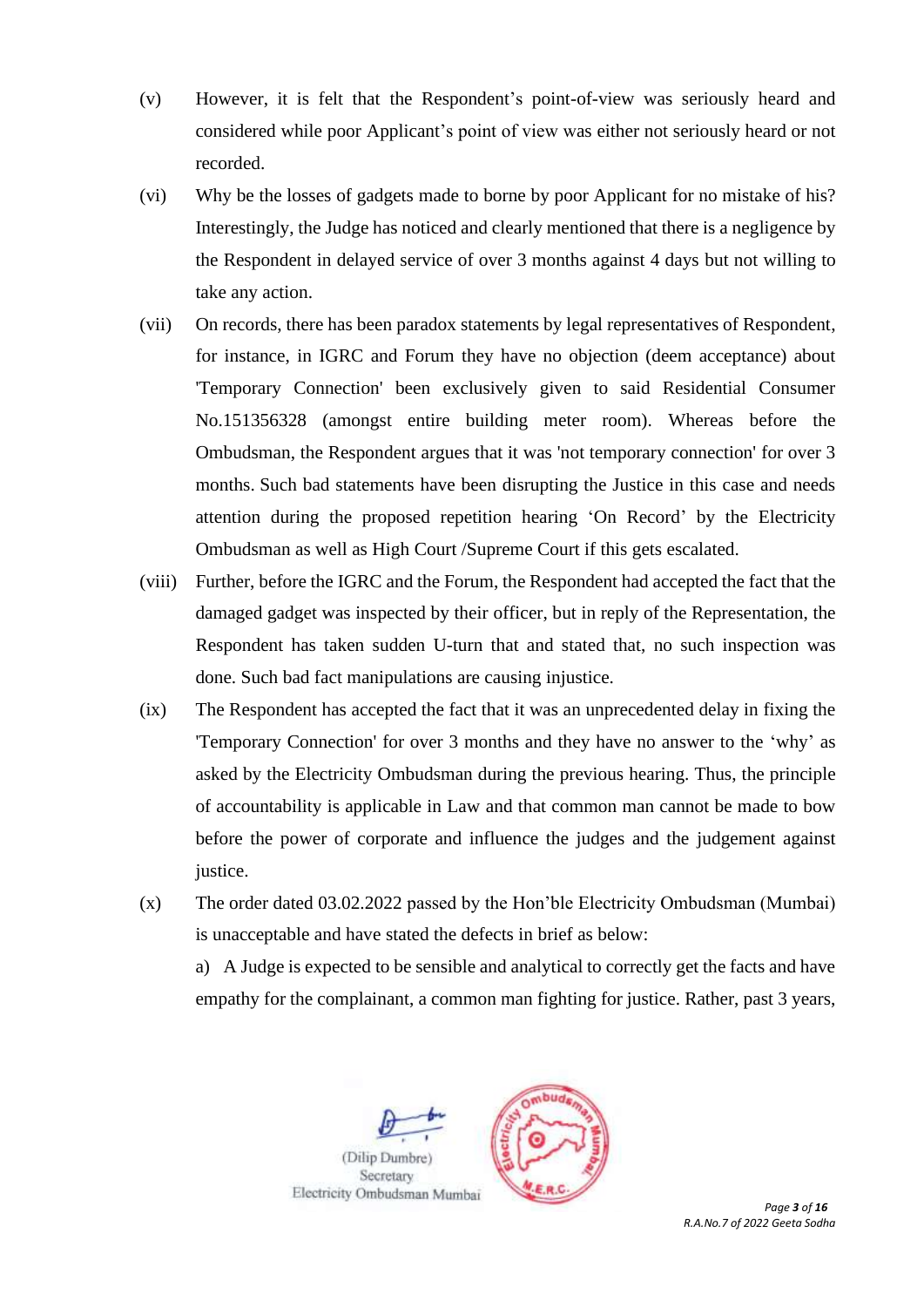- (v) However, it is felt that the Respondent's point-of-view was seriously heard and considered while poor Applicant's point of view was either not seriously heard or not recorded.
- (vi) Why be the losses of gadgets made to borne by poor Applicant for no mistake of his? Interestingly, the Judge has noticed and clearly mentioned that there is a negligence by the Respondent in delayed service of over 3 months against 4 days but not willing to take any action.
- (vii) On records, there has been paradox statements by legal representatives of Respondent, for instance, in IGRC and Forum they have no objection (deem acceptance) about 'Temporary Connection' been exclusively given to said Residential Consumer No.151356328 (amongst entire building meter room). Whereas before the Ombudsman, the Respondent argues that it was 'not temporary connection' for over 3 months. Such bad statements have been disrupting the Justice in this case and needs attention during the proposed repetition hearing 'On Record' by the Electricity Ombudsman as well as High Court /Supreme Court if this gets escalated.
- (viii) Further, before the IGRC and the Forum, the Respondent had accepted the fact that the damaged gadget was inspected by their officer, but in reply of the Representation, the Respondent has taken sudden U-turn that and stated that, no such inspection was done. Such bad fact manipulations are causing injustice.
- (ix) The Respondent has accepted the fact that it was an unprecedented delay in fixing the 'Temporary Connection' for over 3 months and they have no answer to the 'why' as asked by the Electricity Ombudsman during the previous hearing. Thus, the principle of accountability is applicable in Law and that common man cannot be made to bow before the power of corporate and influence the judges and the judgement against justice.
- (x) The order dated 03.02.2022 passed by the Hon'ble Electricity Ombudsman (Mumbai) is unacceptable and have stated the defects in brief as below:

a) A Judge is expected to be sensible and analytical to correctly get the facts and have empathy for the complainant, a common man fighting for justice. Rather, past 3 years,





*Page 3 of 16 R.A.No.7 of 2022 Geeta Sodha*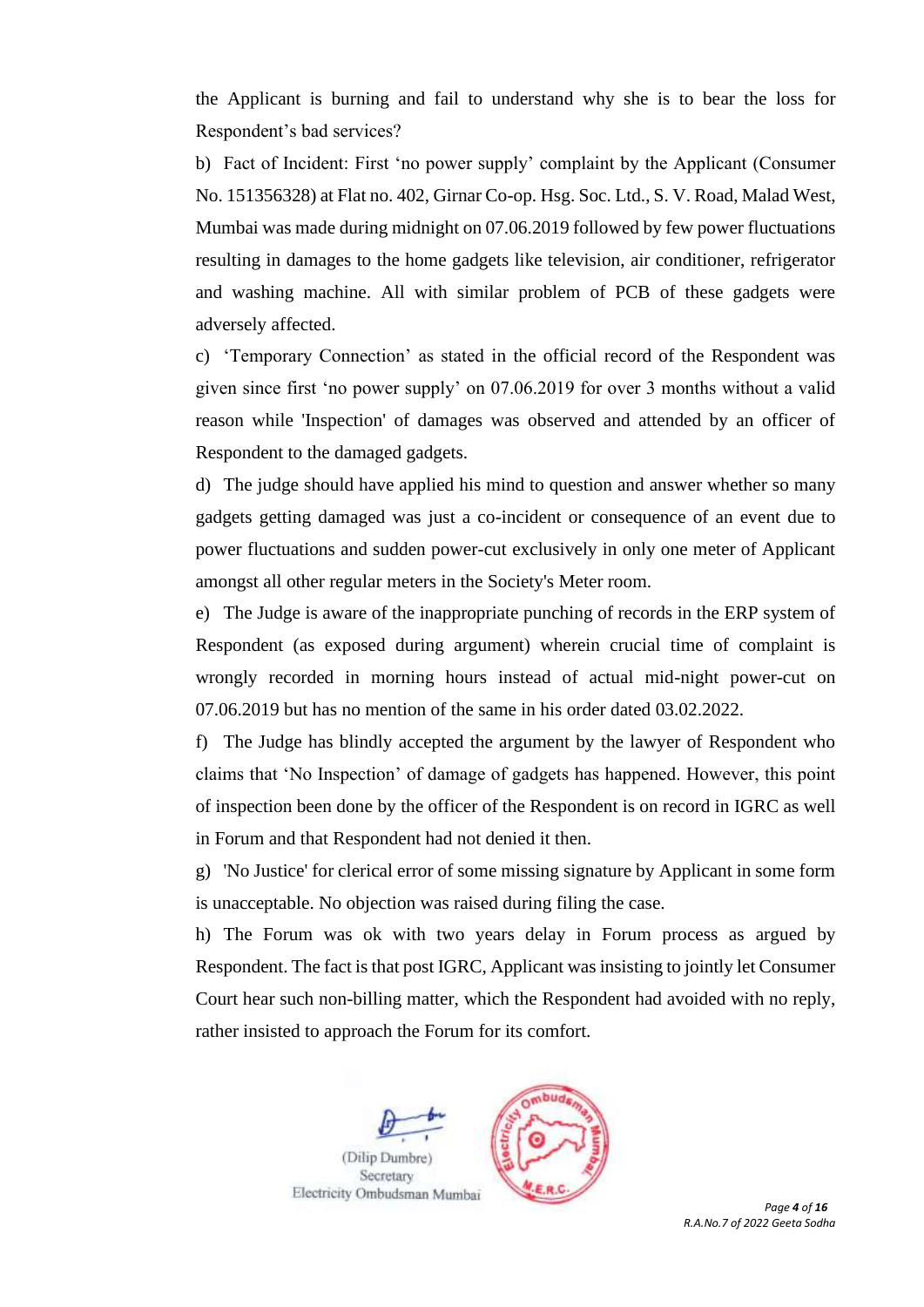the Applicant is burning and fail to understand why she is to bear the loss for Respondent's bad services?

b) Fact of Incident: First 'no power supply' complaint by the Applicant (Consumer No. 151356328) at Flat no. 402, Girnar Co-op. Hsg. Soc. Ltd., S. V. Road, Malad West, Mumbai was made during midnight on 07.06.2019 followed by few power fluctuations resulting in damages to the home gadgets like television, air conditioner, refrigerator and washing machine. All with similar problem of PCB of these gadgets were adversely affected.

c) 'Temporary Connection' as stated in the official record of the Respondent was given since first 'no power supply' on 07.06.2019 for over 3 months without a valid reason while 'Inspection' of damages was observed and attended by an officer of Respondent to the damaged gadgets.

d) The judge should have applied his mind to question and answer whether so many gadgets getting damaged was just a co-incident or consequence of an event due to power fluctuations and sudden power-cut exclusively in only one meter of Applicant amongst all other regular meters in the Society's Meter room.

e) The Judge is aware of the inappropriate punching of records in the ERP system of Respondent (as exposed during argument) wherein crucial time of complaint is wrongly recorded in morning hours instead of actual mid-night power-cut on 07.06.2019 but has no mention of the same in his order dated 03.02.2022.

f) The Judge has blindly accepted the argument by the lawyer of Respondent who claims that 'No Inspection' of damage of gadgets has happened. However, this point of inspection been done by the officer of the Respondent is on record in IGRC as well in Forum and that Respondent had not denied it then.

g) 'No Justice' for clerical error of some missing signature by Applicant in some form is unacceptable. No objection was raised during filing the case.

h) The Forum was ok with two years delay in Forum process as argued by Respondent. The fact is that post IGRC, Applicant was insisting to jointly let Consumer Court hear such non-billing matter, which the Respondent had avoided with no reply, rather insisted to approach the Forum for its comfort.



*R.A.No.7 of 2022 Geeta Sodha*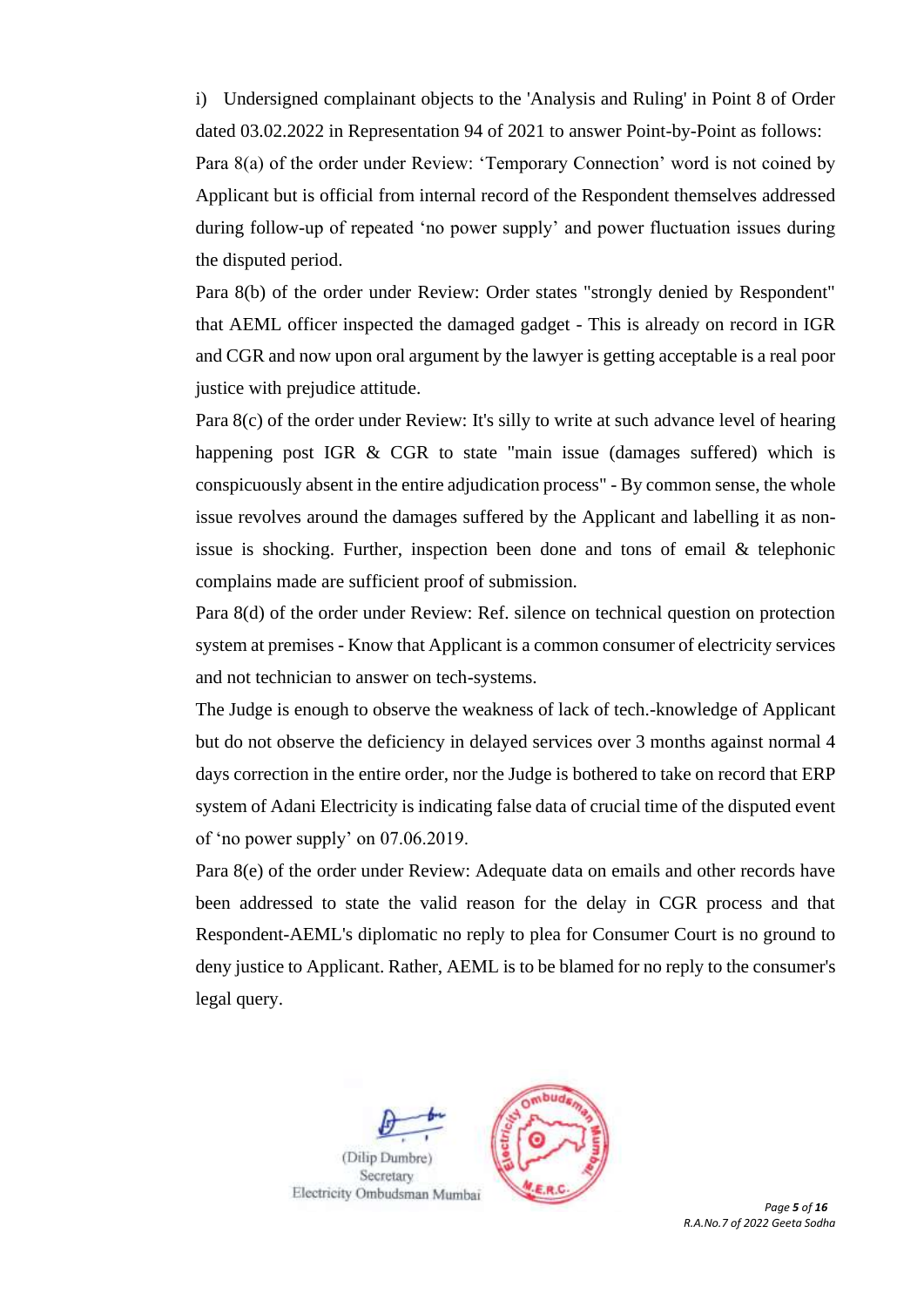i) Undersigned complainant objects to the 'Analysis and Ruling' in Point 8 of Order dated 03.02.2022 in Representation 94 of 2021 to answer Point-by-Point as follows:

Para 8(a) of the order under Review: 'Temporary Connection' word is not coined by Applicant but is official from internal record of the Respondent themselves addressed during follow-up of repeated 'no power supply' and power fluctuation issues during the disputed period.

Para 8(b) of the order under Review: Order states "strongly denied by Respondent" that AEML officer inspected the damaged gadget - This is already on record in IGR and CGR and now upon oral argument by the lawyer is getting acceptable is a real poor justice with prejudice attitude.

Para 8(c) of the order under Review: It's silly to write at such advance level of hearing happening post IGR & CGR to state "main issue (damages suffered) which is conspicuously absent in the entire adjudication process" - By common sense, the whole issue revolves around the damages suffered by the Applicant and labelling it as nonissue is shocking. Further, inspection been done and tons of email & telephonic complains made are sufficient proof of submission.

Para 8(d) of the order under Review: Ref. silence on technical question on protection system at premises - Know that Applicant is a common consumer of electricity services and not technician to answer on tech-systems.

The Judge is enough to observe the weakness of lack of tech.-knowledge of Applicant but do not observe the deficiency in delayed services over 3 months against normal 4 days correction in the entire order, nor the Judge is bothered to take on record that ERP system of Adani Electricity is indicating false data of crucial time of the disputed event of 'no power supply' on 07.06.2019.

Para 8(e) of the order under Review: Adequate data on emails and other records have been addressed to state the valid reason for the delay in CGR process and that Respondent-AEML's diplomatic no reply to plea for Consumer Court is no ground to deny justice to Applicant. Rather, AEML is to be blamed for no reply to the consumer's legal query.





*R.A.No.7 of 2022 Geeta Sodha*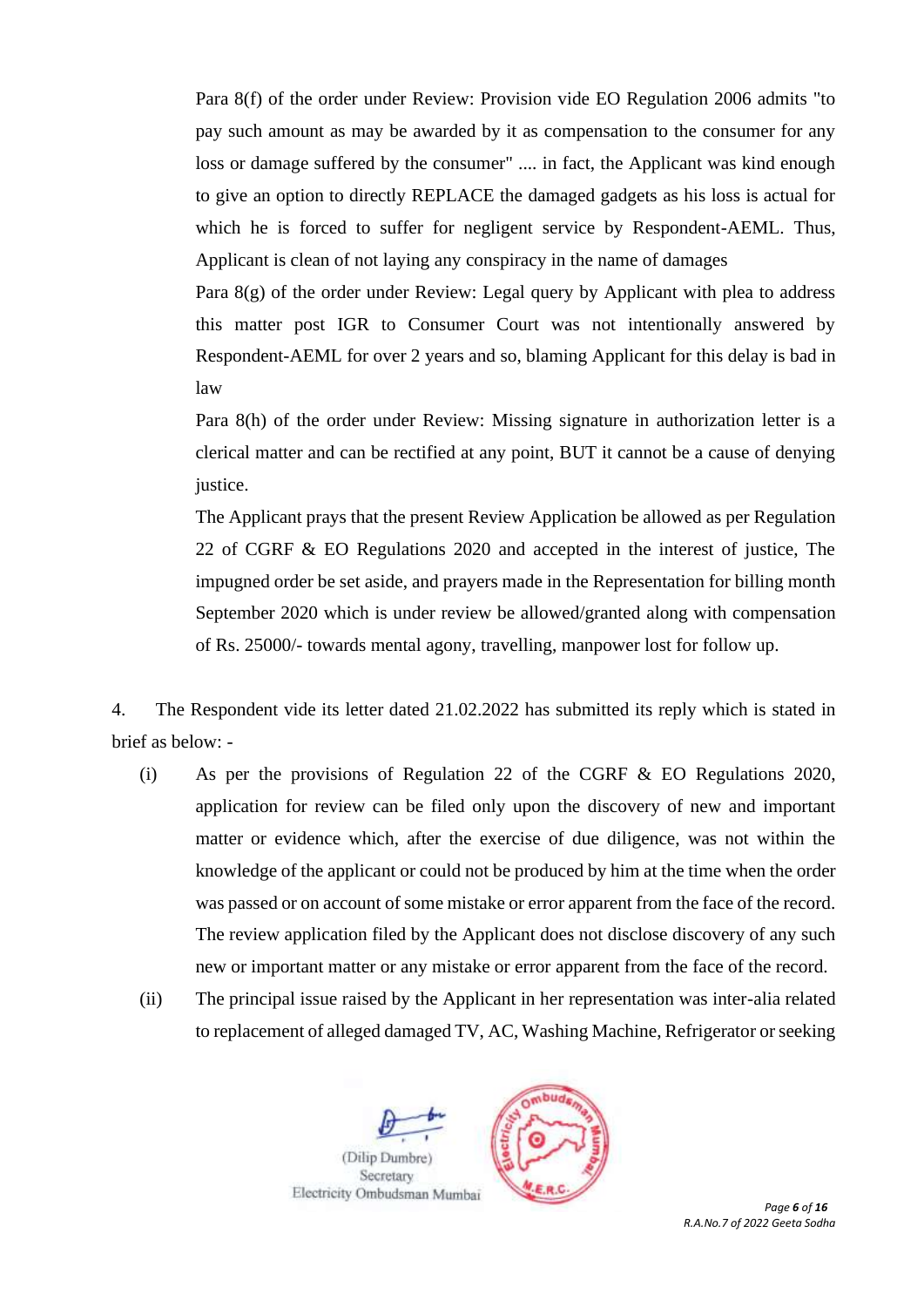Para 8(f) of the order under Review: Provision vide EO Regulation 2006 admits "to pay such amount as may be awarded by it as compensation to the consumer for any loss or damage suffered by the consumer" .... in fact, the Applicant was kind enough to give an option to directly REPLACE the damaged gadgets as his loss is actual for which he is forced to suffer for negligent service by Respondent-AEML. Thus, Applicant is clean of not laying any conspiracy in the name of damages

Para 8(g) of the order under Review: Legal query by Applicant with plea to address this matter post IGR to Consumer Court was not intentionally answered by Respondent-AEML for over 2 years and so, blaming Applicant for this delay is bad in law

Para 8(h) of the order under Review: Missing signature in authorization letter is a clerical matter and can be rectified at any point, BUT it cannot be a cause of denying justice.

The Applicant prays that the present Review Application be allowed as per Regulation 22 of CGRF & EO Regulations 2020 and accepted in the interest of justice, The impugned order be set aside, and prayers made in the Representation for billing month September 2020 which is under review be allowed/granted along with compensation of Rs. 25000/- towards mental agony, travelling, manpower lost for follow up.

4. The Respondent vide its letter dated 21.02.2022 has submitted its reply which is stated in brief as below: -

- (i) As per the provisions of Regulation 22 of the CGRF & EO Regulations 2020, application for review can be filed only upon the discovery of new and important matter or evidence which, after the exercise of due diligence, was not within the knowledge of the applicant or could not be produced by him at the time when the order was passed or on account of some mistake or error apparent from the face of the record. The review application filed by the Applicant does not disclose discovery of any such new or important matter or any mistake or error apparent from the face of the record.
- (ii) The principal issue raised by the Applicant in her representation was inter-alia related to replacement of alleged damaged TV, AC, Washing Machine, Refrigerator or seeking





*Page 6 of 16 R.A.No.7 of 2022 Geeta Sodha*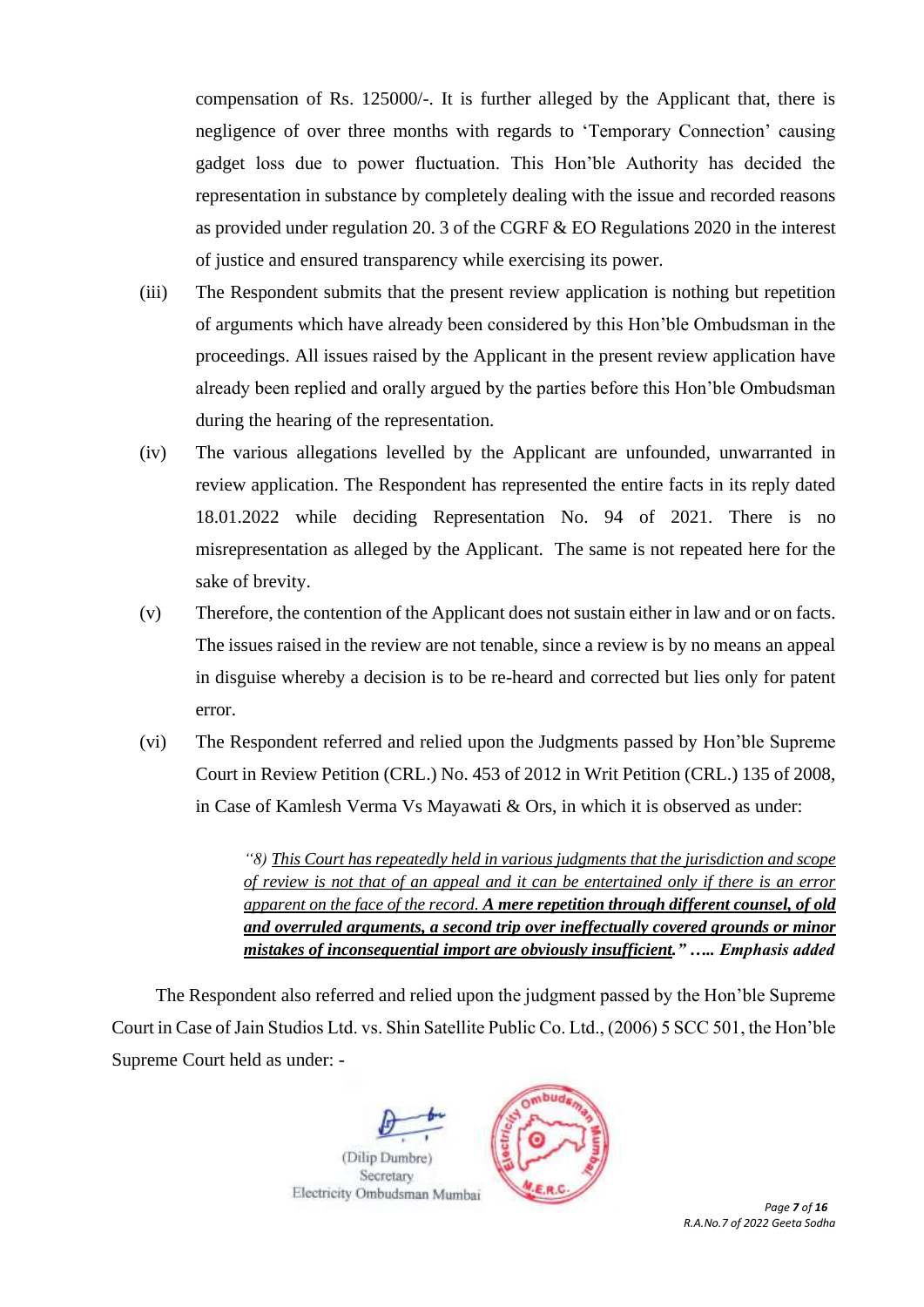compensation of Rs. 125000/-. It is further alleged by the Applicant that, there is negligence of over three months with regards to 'Temporary Connection' causing gadget loss due to power fluctuation. This Hon'ble Authority has decided the representation in substance by completely dealing with the issue and recorded reasons as provided under regulation 20. 3 of the CGRF & EO Regulations 2020 in the interest of justice and ensured transparency while exercising its power.

- (iii) The Respondent submits that the present review application is nothing but repetition of arguments which have already been considered by this Hon'ble Ombudsman in the proceedings. All issues raised by the Applicant in the present review application have already been replied and orally argued by the parties before this Hon'ble Ombudsman during the hearing of the representation.
- (iv) The various allegations levelled by the Applicant are unfounded, unwarranted in review application. The Respondent has represented the entire facts in its reply dated 18.01.2022 while deciding Representation No. 94 of 2021. There is no misrepresentation as alleged by the Applicant. The same is not repeated here for the sake of brevity.
- (v) Therefore, the contention of the Applicant does not sustain either in law and or on facts. The issues raised in the review are not tenable, since a review is by no means an appeal in disguise whereby a decision is to be re-heard and corrected but lies only for patent error.
- (vi) The Respondent referred and relied upon the Judgments passed by Hon'ble Supreme Court in Review Petition (CRL.) No. 453 of 2012 in Writ Petition (CRL.) 135 of 2008, in Case of Kamlesh Verma Vs Mayawati & Ors, in which it is observed as under:

*"8) This Court has repeatedly held in various judgments that the jurisdiction and scope of review is not that of an appeal and it can be entertained only if there is an error apparent on the face of the record. A mere repetition through different counsel, of old and overruled arguments, a second trip over ineffectually covered grounds or minor mistakes of inconsequential import are obviously insufficient." ….. Emphasis added*

The Respondent also referred and relied upon the judgment passed by the Hon'ble Supreme Court in Case of Jain Studios Ltd. vs. Shin Satellite Public Co. Ltd., (2006) 5 SCC 501, the Hon'ble Supreme Court held as under: -





*Page 7 of 16 R.A.No.7 of 2022 Geeta Sodha*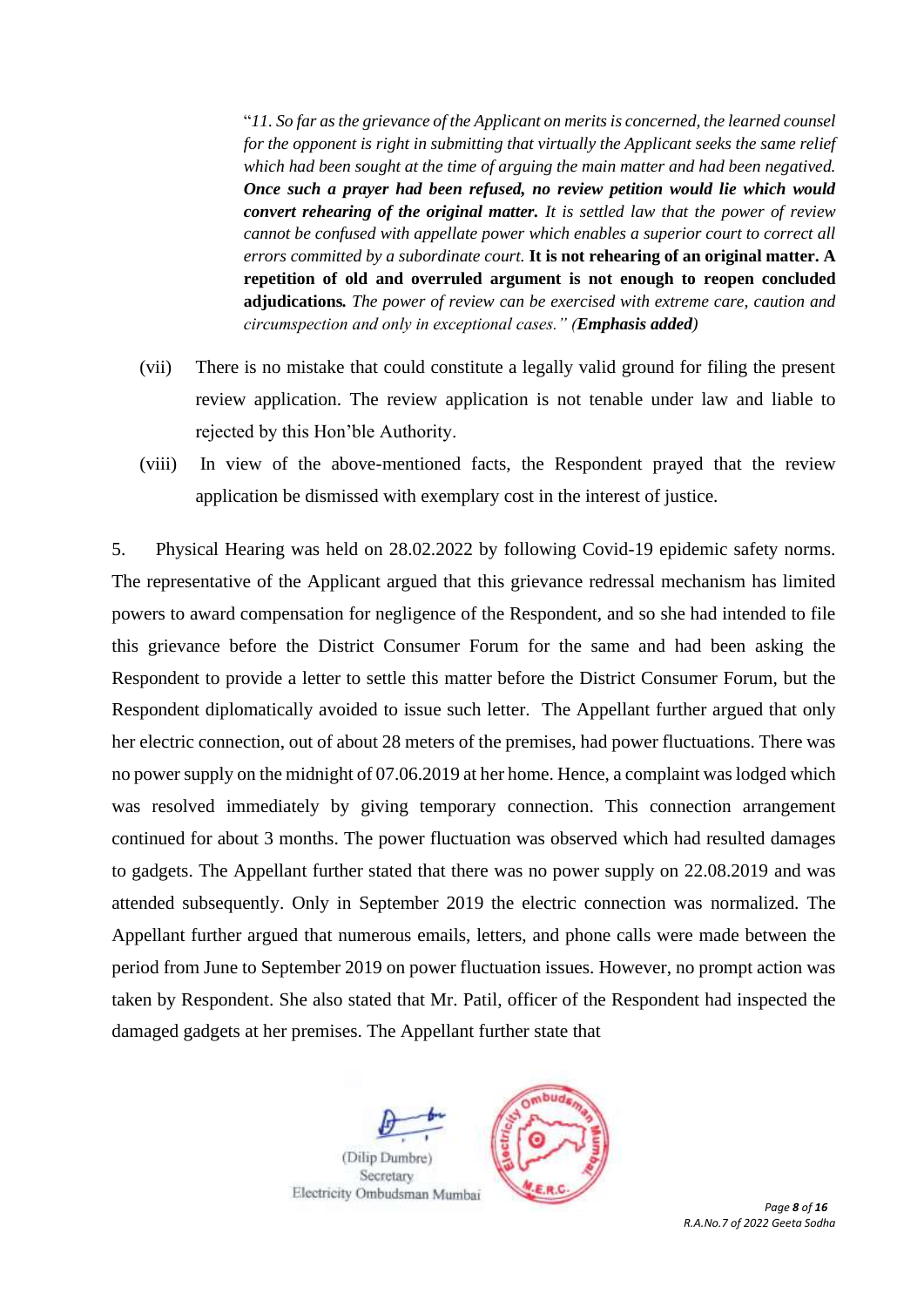"*11. So far as the grievance of the Applicant on merits is concerned, the learned counsel for the opponent is right in submitting that virtually the Applicant seeks the same relief which had been sought at the time of arguing the main matter and had been negatived. Once such a prayer had been refused, no review petition would lie which would convert rehearing of the original matter. It is settled law that the power of review cannot be confused with appellate power which enables a superior court to correct all errors committed by a subordinate court.* **It is not rehearing of an original matter. A repetition of old and overruled argument is not enough to reopen concluded adjudications***. The power of review can be exercised with extreme care, caution and circumspection and only in exceptional cases." (Emphasis added)*

- (vii) There is no mistake that could constitute a legally valid ground for filing the present review application. The review application is not tenable under law and liable to rejected by this Hon'ble Authority.
- (viii) In view of the above-mentioned facts, the Respondent prayed that the review application be dismissed with exemplary cost in the interest of justice.

5. Physical Hearing was held on 28.02.2022 by following Covid-19 epidemic safety norms. The representative of the Applicant argued that this grievance redressal mechanism has limited powers to award compensation for negligence of the Respondent, and so she had intended to file this grievance before the District Consumer Forum for the same and had been asking the Respondent to provide a letter to settle this matter before the District Consumer Forum, but the Respondent diplomatically avoided to issue such letter. The Appellant further argued that only her electric connection, out of about 28 meters of the premises, had power fluctuations. There was no power supply on the midnight of 07.06.2019 at her home. Hence, a complaint was lodged which was resolved immediately by giving temporary connection. This connection arrangement continued for about 3 months. The power fluctuation was observed which had resulted damages to gadgets. The Appellant further stated that there was no power supply on 22.08.2019 and was attended subsequently. Only in September 2019 the electric connection was normalized. The Appellant further argued that numerous emails, letters, and phone calls were made between the period from June to September 2019 on power fluctuation issues. However, no prompt action was taken by Respondent. She also stated that Mr. Patil, officer of the Respondent had inspected the damaged gadgets at her premises. The Appellant further state that





*Page 8 of 16 R.A.No.7 of 2022 Geeta Sodha*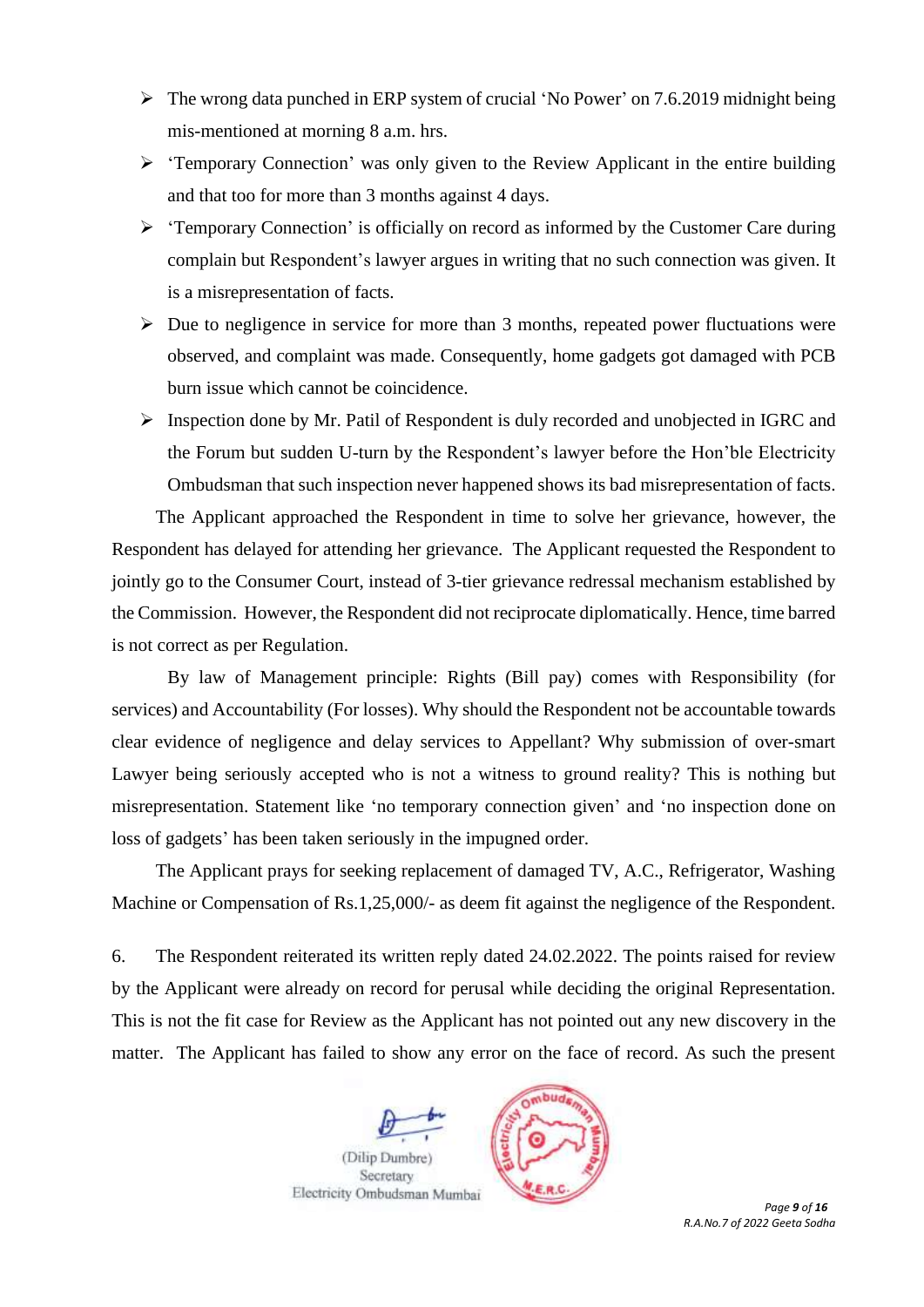- ➢ The wrong data punched in ERP system of crucial 'No Power' on 7.6.2019 midnight being mis-mentioned at morning 8 a.m. hrs.
- ➢ 'Temporary Connection' was only given to the Review Applicant in the entire building and that too for more than 3 months against 4 days.
- ➢ 'Temporary Connection' is officially on record as informed by the Customer Care during complain but Respondent's lawyer argues in writing that no such connection was given. It is a misrepresentation of facts.
- $\triangleright$  Due to negligence in service for more than 3 months, repeated power fluctuations were observed, and complaint was made. Consequently, home gadgets got damaged with PCB burn issue which cannot be coincidence.
- ➢ Inspection done by Mr. Patil of Respondent is duly recorded and unobjected in IGRC and the Forum but sudden U-turn by the Respondent's lawyer before the Hon'ble Electricity Ombudsman that such inspection never happened shows its bad misrepresentation of facts.

The Applicant approached the Respondent in time to solve her grievance, however, the Respondent has delayed for attending her grievance. The Applicant requested the Respondent to jointly go to the Consumer Court, instead of 3-tier grievance redressal mechanism established by the Commission. However, the Respondent did not reciprocate diplomatically. Hence, time barred is not correct as per Regulation.

By law of Management principle: Rights (Bill pay) comes with Responsibility (for services) and Accountability (For losses). Why should the Respondent not be accountable towards clear evidence of negligence and delay services to Appellant? Why submission of over-smart Lawyer being seriously accepted who is not a witness to ground reality? This is nothing but misrepresentation. Statement like 'no temporary connection given' and 'no inspection done on loss of gadgets' has been taken seriously in the impugned order.

The Applicant prays for seeking replacement of damaged TV, A.C., Refrigerator, Washing Machine or Compensation of Rs.1,25,000/- as deem fit against the negligence of the Respondent.

6. The Respondent reiterated its written reply dated 24.02.2022. The points raised for review by the Applicant were already on record for perusal while deciding the original Representation. This is not the fit case for Review as the Applicant has not pointed out any new discovery in the matter. The Applicant has failed to show any error on the face of record. As such the present



*R.A.No.7 of 2022 Geeta Sodha*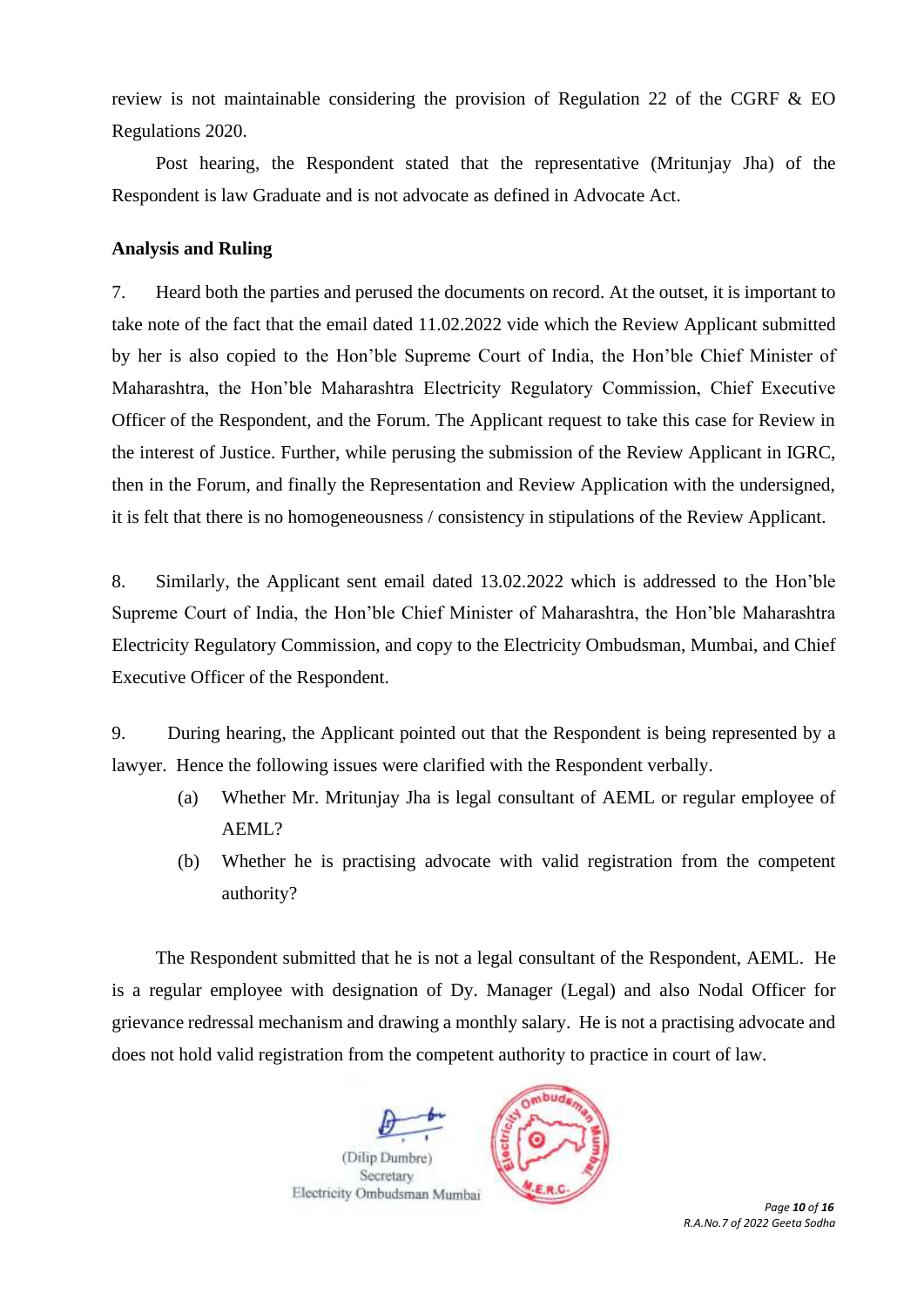review is not maintainable considering the provision of Regulation 22 of the CGRF & EO Regulations 2020.

Post hearing, the Respondent stated that the representative (Mritunjay Jha) of the Respondent is law Graduate and is not advocate as defined in Advocate Act.

## **Analysis and Ruling**

7. Heard both the parties and perused the documents on record. At the outset, it is important to take note of the fact that the email dated 11.02.2022 vide which the Review Applicant submitted by her is also copied to the Hon'ble Supreme Court of India, the Hon'ble Chief Minister of Maharashtra, the Hon'ble Maharashtra Electricity Regulatory Commission, Chief Executive Officer of the Respondent, and the Forum. The Applicant request to take this case for Review in the interest of Justice. Further, while perusing the submission of the Review Applicant in IGRC, then in the Forum, and finally the Representation and Review Application with the undersigned, it is felt that there is no homogeneousness / consistency in stipulations of the Review Applicant.

8. Similarly, the Applicant sent email dated 13.02.2022 which is addressed to the Hon'ble Supreme Court of India, the Hon'ble Chief Minister of Maharashtra, the Hon'ble Maharashtra Electricity Regulatory Commission, and copy to the Electricity Ombudsman, Mumbai, and Chief Executive Officer of the Respondent.

9. During hearing, the Applicant pointed out that the Respondent is being represented by a lawyer. Hence the following issues were clarified with the Respondent verbally.

- (a) Whether Mr. Mritunjay Jha is legal consultant of AEML or regular employee of AEML?
- (b) Whether he is practising advocate with valid registration from the competent authority?

The Respondent submitted that he is not a legal consultant of the Respondent, AEML. He is a regular employee with designation of Dy. Manager (Legal) and also Nodal Officer for grievance redressal mechanism and drawing a monthly salary. He is not a practising advocate and does not hold valid registration from the competent authority to practice in court of law.



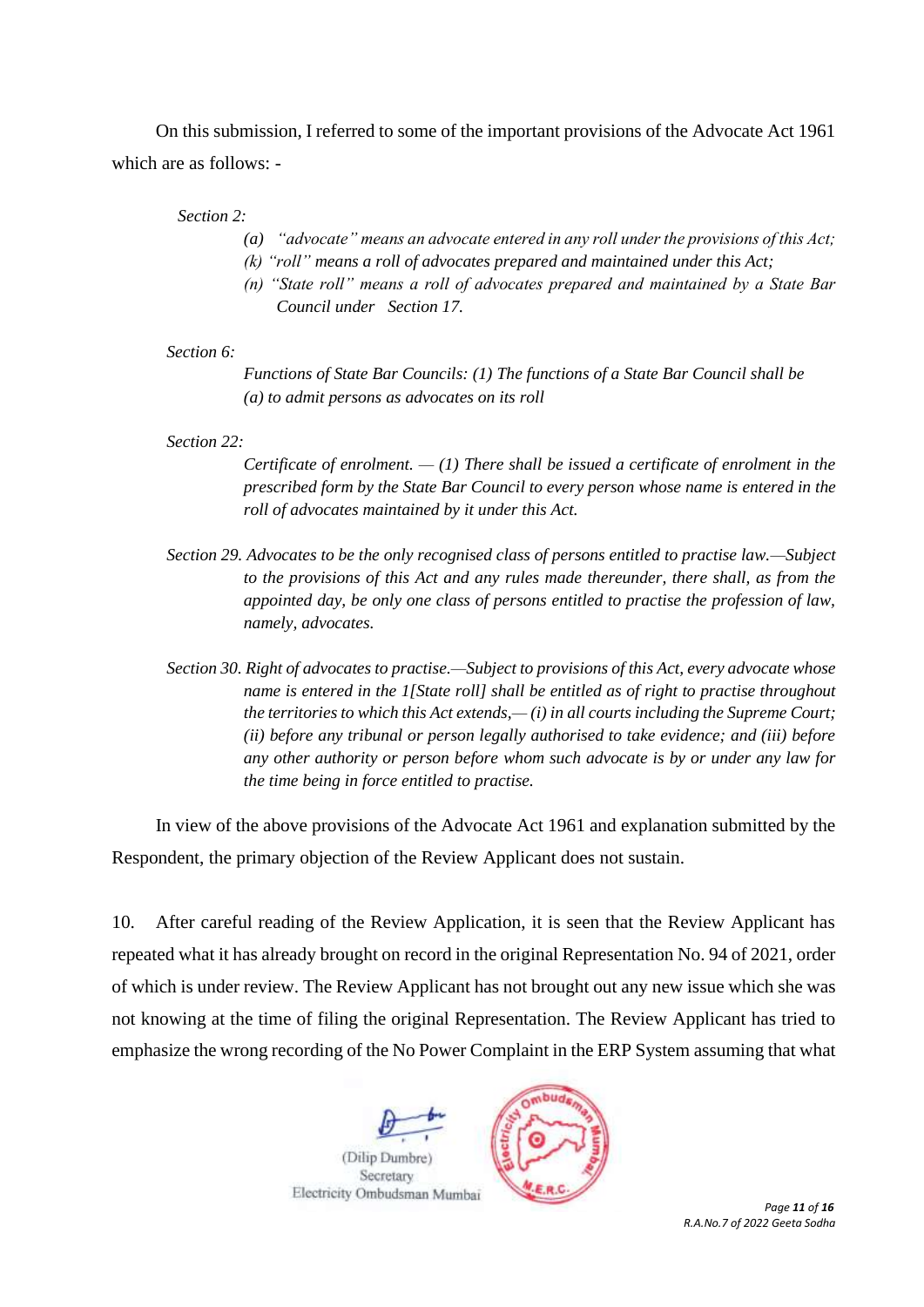On this submission, I referred to some of the important provisions of the Advocate Act 1961 which are as follows: -

#### *Section 2:*

- *(a) "advocate" means an advocate entered in any roll under the provisions of this Act;*
- *(k) "roll" means a roll of advocates prepared and maintained under this Act;*
- *(n) "State roll" means a roll of advocates prepared and maintained by a State Bar Council under Section 17.*

## *Section 6:*

*Functions of State Bar Councils: (1) The functions of a State Bar Council shall be (a) to admit persons as advocates on its roll*

#### *Section 22:*

*Certificate of enrolment. — (1) There shall be issued a certificate of enrolment in the prescribed form by the State Bar Council to every person whose name is entered in the roll of advocates maintained by it under this Act.*

- *Section 29. Advocates to be the only recognised class of persons entitled to practise law.—Subject to the provisions of this Act and any rules made thereunder, there shall, as from the appointed day, be only one class of persons entitled to practise the profession of law, namely, advocates.*
- *Section 30. Right of advocates to practise.—Subject to provisions of this Act, every advocate whose name is entered in the 1[State roll] shall be entitled as of right to practise throughout the territories to which this Act extends,— (i) in all courts including the Supreme Court; (ii) before any tribunal or person legally authorised to take evidence; and (iii) before any other authority or person before whom such advocate is by or under any law for the time being in force entitled to practise.*

In view of the above provisions of the Advocate Act 1961 and explanation submitted by the Respondent, the primary objection of the Review Applicant does not sustain.

10. After careful reading of the Review Application, it is seen that the Review Applicant has repeated what it has already brought on record in the original Representation No. 94 of 2021, order of which is under review. The Review Applicant has not brought out any new issue which she was not knowing at the time of filing the original Representation. The Review Applicant has tried to emphasize the wrong recording of the No Power Complaint in the ERP System assuming that what





*R.A.No.7 of 2022 Geeta Sodha*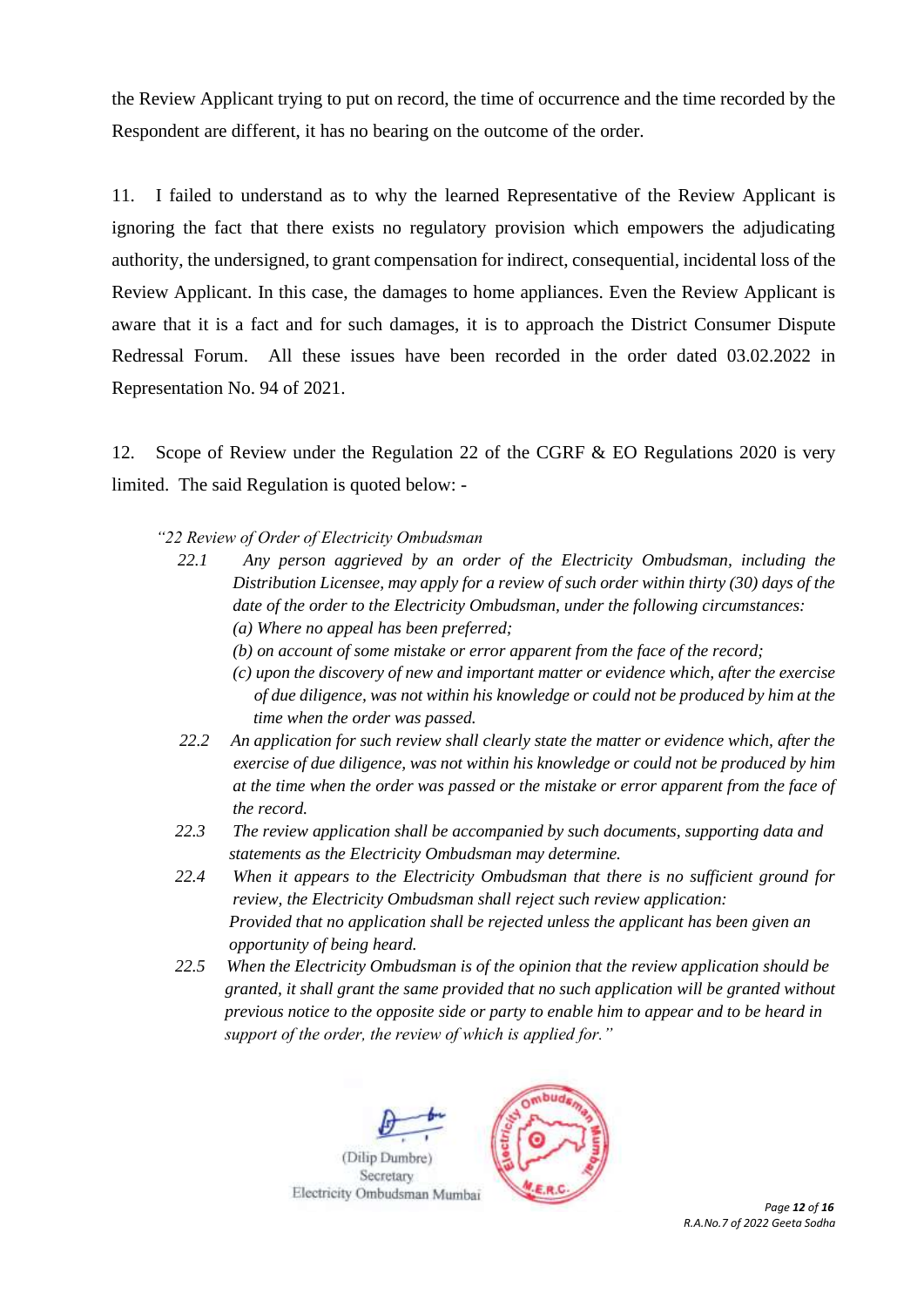the Review Applicant trying to put on record, the time of occurrence and the time recorded by the Respondent are different, it has no bearing on the outcome of the order.

11. I failed to understand as to why the learned Representative of the Review Applicant is ignoring the fact that there exists no regulatory provision which empowers the adjudicating authority, the undersigned, to grant compensation for indirect, consequential, incidental loss of the Review Applicant. In this case, the damages to home appliances. Even the Review Applicant is aware that it is a fact and for such damages, it is to approach the District Consumer Dispute Redressal Forum. All these issues have been recorded in the order dated 03.02.2022 in Representation No. 94 of 2021.

12. Scope of Review under the Regulation 22 of the CGRF & EO Regulations 2020 is very limited. The said Regulation is quoted below: -

- *"22 Review of Order of Electricity Ombudsman* 
	- *22.1 Any person aggrieved by an order of the Electricity Ombudsman, including the Distribution Licensee, may apply for a review of such order within thirty (30) days of the date of the order to the Electricity Ombudsman, under the following circumstances: (a) Where no appeal has been preferred;* 
		- *(b) on account of some mistake or error apparent from the face of the record;*
		- *(c) upon the discovery of new and important matter or evidence which, after the exercise of due diligence, was not within his knowledge or could not be produced by him at the time when the order was passed.*
	- *22.2 An application for such review shall clearly state the matter or evidence which, after the exercise of due diligence, was not within his knowledge or could not be produced by him at the time when the order was passed or the mistake or error apparent from the face of the record.*
	- *22.3 The review application shall be accompanied by such documents, supporting data and statements as the Electricity Ombudsman may determine.*
	- *22.4 When it appears to the Electricity Ombudsman that there is no sufficient ground for review, the Electricity Ombudsman shall reject such review application: Provided that no application shall be rejected unless the applicant has been given an opportunity of being heard.*
	- *22.5 When the Electricity Ombudsman is of the opinion that the review application should be granted, it shall grant the same provided that no such application will be granted without previous notice to the opposite side or party to enable him to appear and to be heard in support of the order, the review of which is applied for."*



*R.A.No.7 of 2022 Geeta Sodha*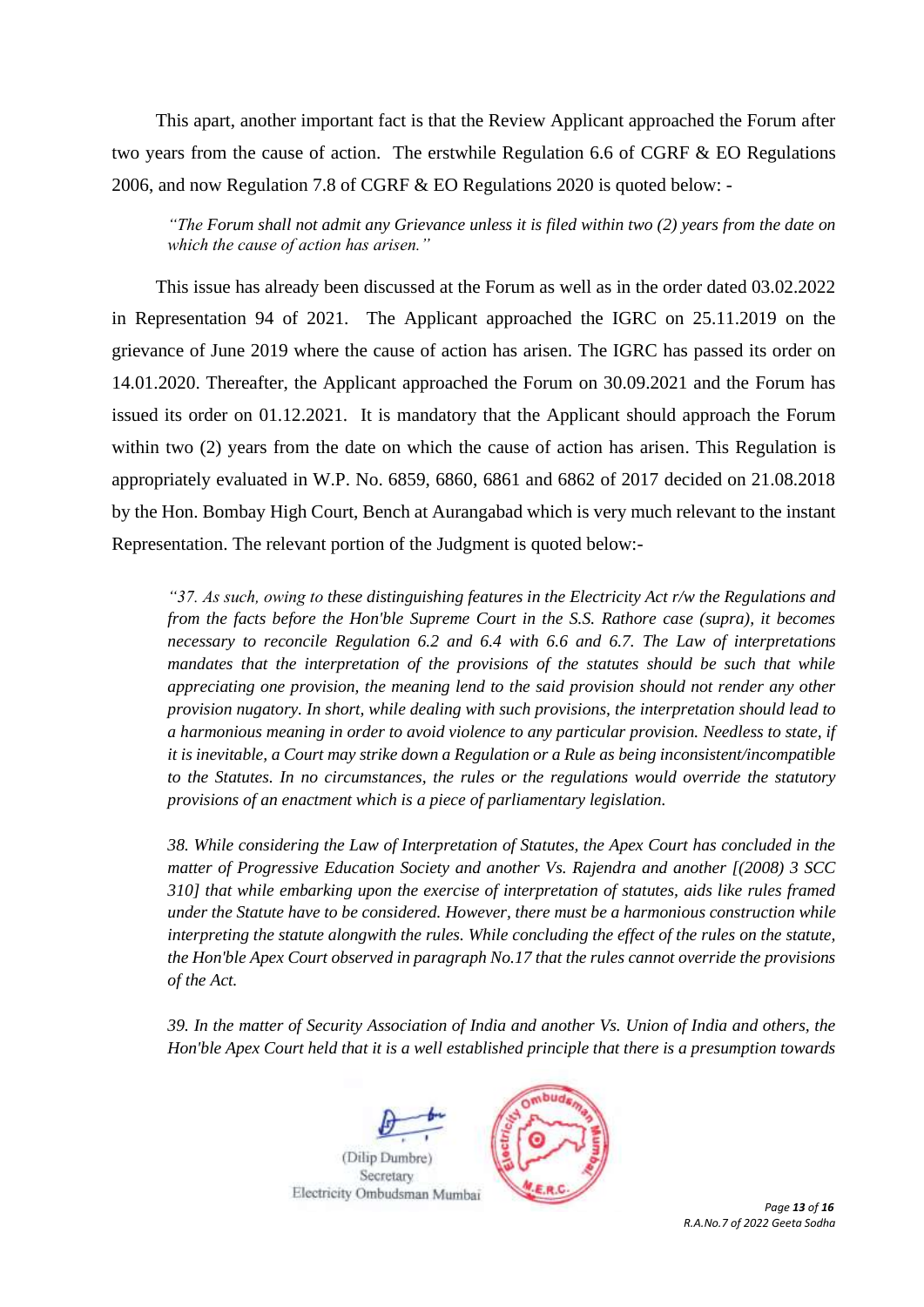This apart, another important fact is that the Review Applicant approached the Forum after two years from the cause of action. The erstwhile Regulation 6.6 of CGRF & EO Regulations 2006, and now Regulation 7.8 of CGRF & EO Regulations 2020 is quoted below: -

*"The Forum shall not admit any Grievance unless it is filed within two (2) years from the date on which the cause of action has arisen."*

This issue has already been discussed at the Forum as well as in the order dated 03.02.2022 in Representation 94 of 2021. The Applicant approached the IGRC on 25.11.2019 on the grievance of June 2019 where the cause of action has arisen. The IGRC has passed its order on 14.01.2020. Thereafter, the Applicant approached the Forum on 30.09.2021 and the Forum has issued its order on 01.12.2021. It is mandatory that the Applicant should approach the Forum within two (2) years from the date on which the cause of action has arisen. This Regulation is appropriately evaluated in W.P. No. 6859, 6860, 6861 and 6862 of 2017 decided on 21.08.2018 by the Hon. Bombay High Court, Bench at Aurangabad which is very much relevant to the instant Representation. The relevant portion of the Judgment is quoted below:-

*"37. As such, owing to these distinguishing features in the Electricity Act r/w the Regulations and from the facts before the Hon'ble Supreme Court in the S.S. Rathore case (supra), it becomes necessary to reconcile Regulation 6.2 and 6.4 with 6.6 and 6.7. The Law of interpretations mandates that the interpretation of the provisions of the statutes should be such that while appreciating one provision, the meaning lend to the said provision should not render any other provision nugatory. In short, while dealing with such provisions, the interpretation should lead to a harmonious meaning in order to avoid violence to any particular provision. Needless to state, if it is inevitable, a Court may strike down a Regulation or a Rule as being inconsistent/incompatible to the Statutes. In no circumstances, the rules or the regulations would override the statutory provisions of an enactment which is a piece of parliamentary legislation.*

*38. While considering the Law of Interpretation of Statutes, the Apex Court has concluded in the matter of Progressive Education Society and another Vs. Rajendra and another [(2008) 3 SCC 310] that while embarking upon the exercise of interpretation of statutes, aids like rules framed under the Statute have to be considered. However, there must be a harmonious construction while interpreting the statute alongwith the rules. While concluding the effect of the rules on the statute, the Hon'ble Apex Court observed in paragraph No.17 that the rules cannot override the provisions of the Act.*

*39. In the matter of Security Association of India and another Vs. Union of India and others, the Hon'ble Apex Court held that it is a well established principle that there is a presumption towards* 





 *Page 13 of 16 R.A.No.7 of 2022 Geeta Sodha*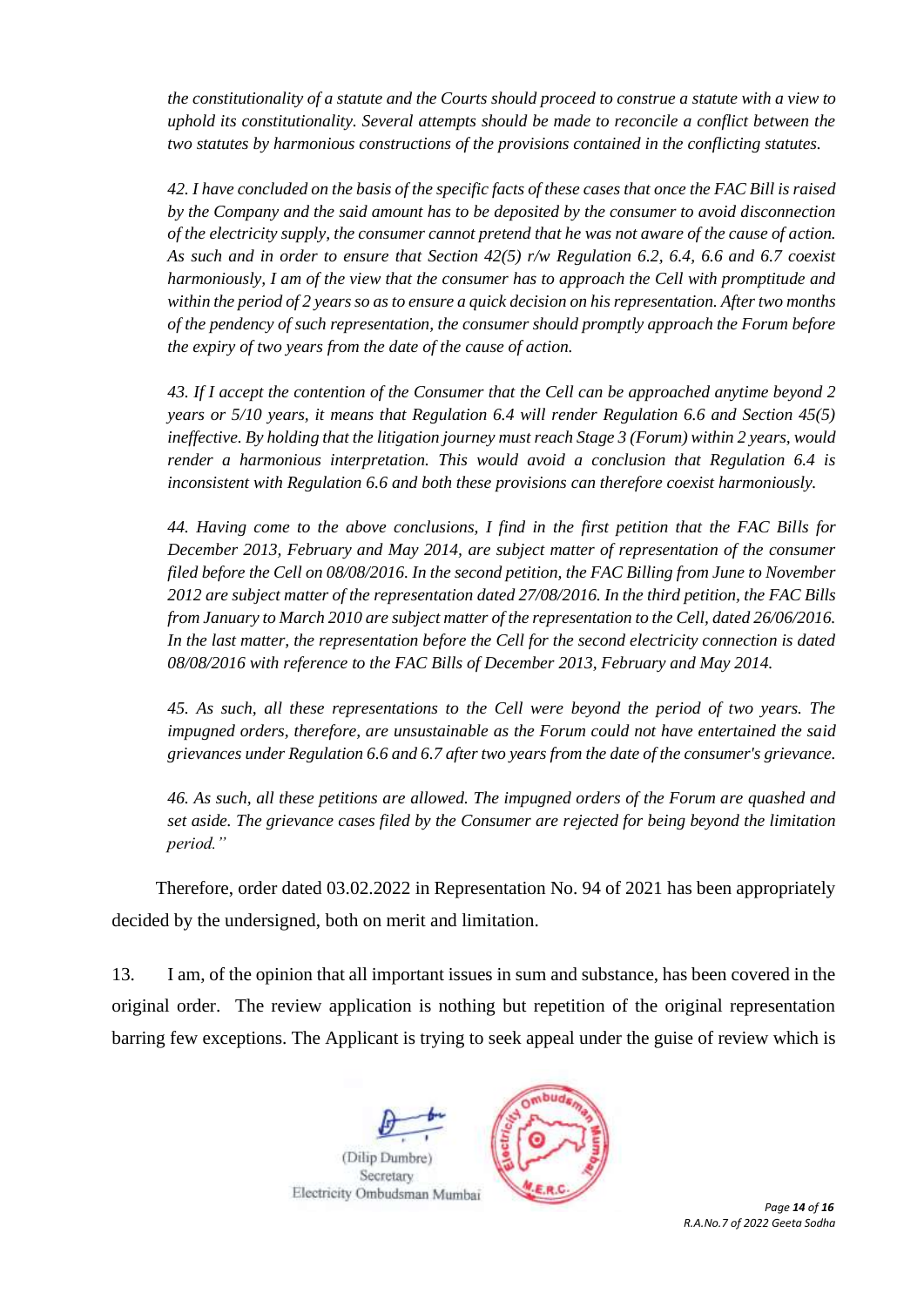*the constitutionality of a statute and the Courts should proceed to construe a statute with a view to uphold its constitutionality. Several attempts should be made to reconcile a conflict between the two statutes by harmonious constructions of the provisions contained in the conflicting statutes.*

*42. I have concluded on the basis of the specific facts of these cases that once the FAC Bill is raised by the Company and the said amount has to be deposited by the consumer to avoid disconnection of the electricity supply, the consumer cannot pretend that he was not aware of the cause of action. As such and in order to ensure that Section 42(5) r/w Regulation 6.2, 6.4, 6.6 and 6.7 coexist harmoniously, I am of the view that the consumer has to approach the Cell with promptitude and within the period of 2 years so as to ensure a quick decision on his representation. After two months of the pendency of such representation, the consumer should promptly approach the Forum before the expiry of two years from the date of the cause of action.*

*43. If I accept the contention of the Consumer that the Cell can be approached anytime beyond 2 years or 5/10 years, it means that Regulation 6.4 will render Regulation 6.6 and Section 45(5) ineffective. By holding that the litigation journey must reach Stage 3 (Forum) within 2 years, would render a harmonious interpretation. This would avoid a conclusion that Regulation 6.4 is inconsistent with Regulation 6.6 and both these provisions can therefore coexist harmoniously.*

*44. Having come to the above conclusions, I find in the first petition that the FAC Bills for December 2013, February and May 2014, are subject matter of representation of the consumer filed before the Cell on 08/08/2016. In the second petition, the FAC Billing from June to November 2012 are subject matter of the representation dated 27/08/2016. In the third petition, the FAC Bills from January to March 2010 are subject matter of the representation to the Cell, dated 26/06/2016. In the last matter, the representation before the Cell for the second electricity connection is dated 08/08/2016 with reference to the FAC Bills of December 2013, February and May 2014.*

*45. As such, all these representations to the Cell were beyond the period of two years. The impugned orders, therefore, are unsustainable as the Forum could not have entertained the said grievances under Regulation 6.6 and 6.7 after two years from the date of the consumer's grievance.*

*46. As such, all these petitions are allowed. The impugned orders of the Forum are quashed and set aside. The grievance cases filed by the Consumer are rejected for being beyond the limitation period."*

Therefore, order dated 03.02.2022 in Representation No. 94 of 2021 has been appropriately decided by the undersigned, both on merit and limitation.

13. I am, of the opinion that all important issues in sum and substance, has been covered in the original order. The review application is nothing but repetition of the original representation barring few exceptions. The Applicant is trying to seek appeal under the guise of review which is



*R.A.No.7 of 2022 Geeta Sodha*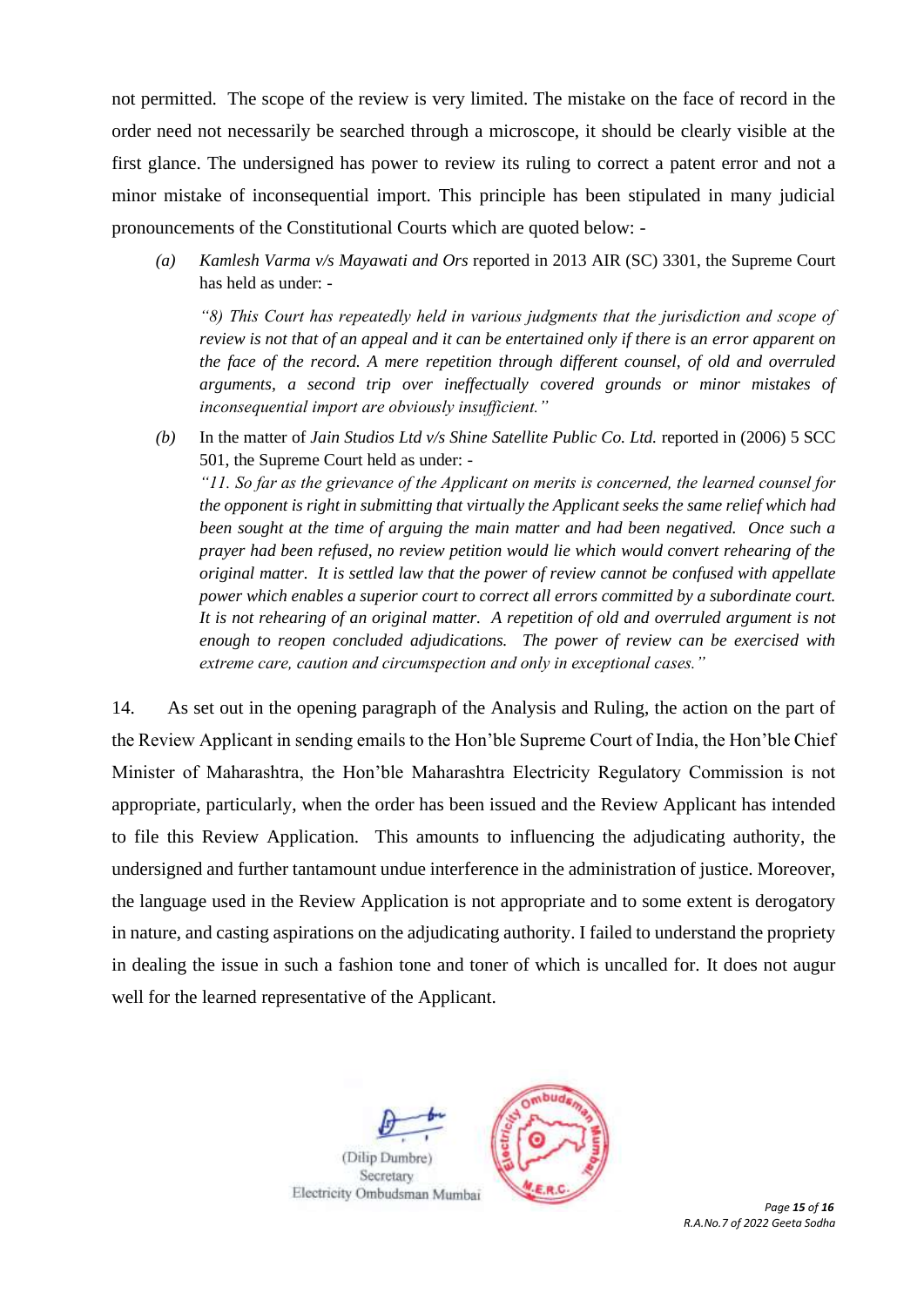not permitted. The scope of the review is very limited. The mistake on the face of record in the order need not necessarily be searched through a microscope, it should be clearly visible at the first glance. The undersigned has power to review its ruling to correct a patent error and not a minor mistake of inconsequential import. This principle has been stipulated in many judicial pronouncements of the Constitutional Courts which are quoted below: -

*(a) Kamlesh Varma v/s Mayawati and Ors* reported in 2013 AIR (SC) 3301, the Supreme Court has held as under: -

*"8) This Court has repeatedly held in various judgments that the jurisdiction and scope of review is not that of an appeal and it can be entertained only if there is an error apparent on the face of the record. A mere repetition through different counsel, of old and overruled arguments, a second trip over ineffectually covered grounds or minor mistakes of inconsequential import are obviously insufficient."*

*(b)* In the matter of *Jain Studios Ltd v/s Shine Satellite Public Co. Ltd.* reported in (2006) 5 SCC 501, the Supreme Court held as under: - *"11. So far as the grievance of the Applicant on merits is concerned, the learned counsel for* 

*the opponent is right in submitting that virtually the Applicant seeks the same relief which had been sought at the time of arguing the main matter and had been negatived. Once such a prayer had been refused, no review petition would lie which would convert rehearing of the original matter. It is settled law that the power of review cannot be confused with appellate power which enables a superior court to correct all errors committed by a subordinate court. It is not rehearing of an original matter. A repetition of old and overruled argument is not enough to reopen concluded adjudications. The power of review can be exercised with extreme care, caution and circumspection and only in exceptional cases."*

14. As set out in the opening paragraph of the Analysis and Ruling, the action on the part of the Review Applicant in sending emails to the Hon'ble Supreme Court of India, the Hon'ble Chief Minister of Maharashtra, the Hon'ble Maharashtra Electricity Regulatory Commission is not appropriate, particularly, when the order has been issued and the Review Applicant has intended to file this Review Application. This amounts to influencing the adjudicating authority, the undersigned and further tantamount undue interference in the administration of justice. Moreover, the language used in the Review Application is not appropriate and to some extent is derogatory in nature, and casting aspirations on the adjudicating authority. I failed to understand the propriety in dealing the issue in such a fashion tone and toner of which is uncalled for. It does not augur well for the learned representative of the Applicant.